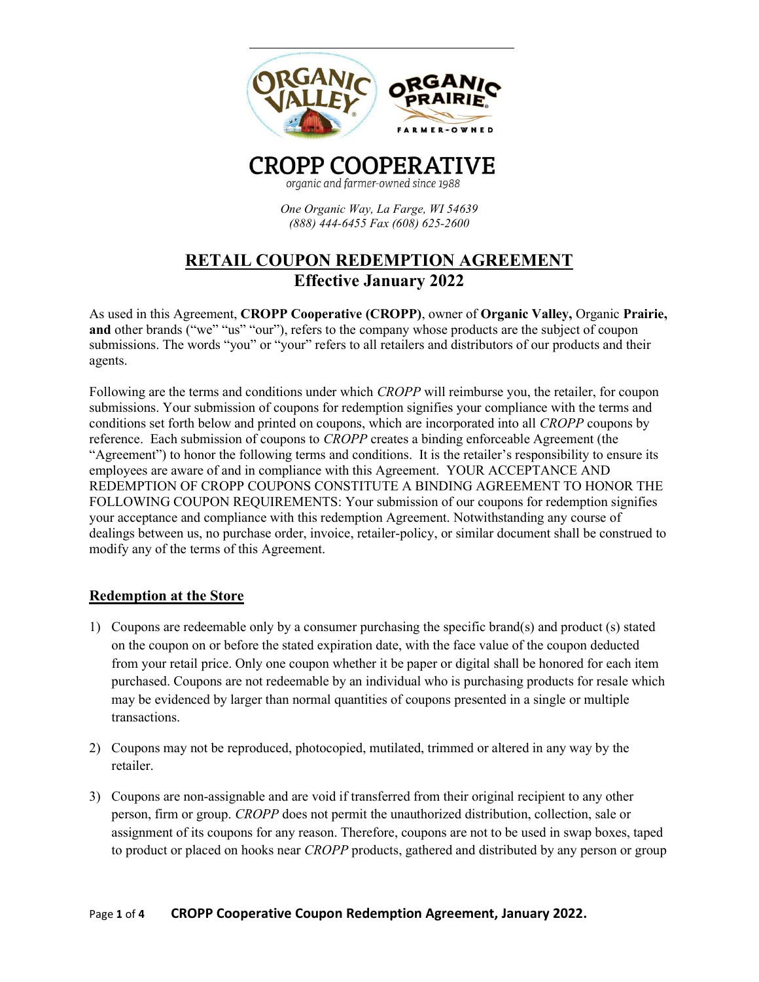

organic and farmer-owned since 1988

One Organic Way, La Farge, WI 54639 (888) 444-6455 Fax (608) 625-2600

# RETAIL COUPON REDEMPTION AGREEMENT Effective January 2022

As used in this Agreement, CROPP Cooperative (CROPP), owner of Organic Valley, Organic Prairie, and other brands ("we" "us" "our"), refers to the company whose products are the subject of coupon submissions. The words "you" or "your" refers to all retailers and distributors of our products and their agents.

Following are the terms and conditions under which CROPP will reimburse you, the retailer, for coupon submissions. Your submission of coupons for redemption signifies your compliance with the terms and conditions set forth below and printed on coupons, which are incorporated into all CROPP coupons by reference. Each submission of coupons to CROPP creates a binding enforceable Agreement (the "Agreement") to honor the following terms and conditions. It is the retailer's responsibility to ensure its employees are aware of and in compliance with this Agreement. YOUR ACCEPTANCE AND REDEMPTION OF CROPP COUPONS CONSTITUTE A BINDING AGREEMENT TO HONOR THE FOLLOWING COUPON REQUIREMENTS: Your submission of our coupons for redemption signifies your acceptance and compliance with this redemption Agreement. Notwithstanding any course of dealings between us, no purchase order, invoice, retailer-policy, or similar document shall be construed to modify any of the terms of this Agreement.

## Redemption at the Store

- 1) Coupons are redeemable only by a consumer purchasing the specific brand(s) and product (s) stated on the coupon on or before the stated expiration date, with the face value of the coupon deducted from your retail price. Only one coupon whether it be paper or digital shall be honored for each item purchased. Coupons are not redeemable by an individual who is purchasing products for resale which may be evidenced by larger than normal quantities of coupons presented in a single or multiple transactions.
- 2) Coupons may not be reproduced, photocopied, mutilated, trimmed or altered in any way by the retailer.
- 3) Coupons are non-assignable and are void if transferred from their original recipient to any other person, firm or group. CROPP does not permit the unauthorized distribution, collection, sale or assignment of its coupons for any reason. Therefore, coupons are not to be used in swap boxes, taped to product or placed on hooks near *CROPP* products, gathered and distributed by any person or group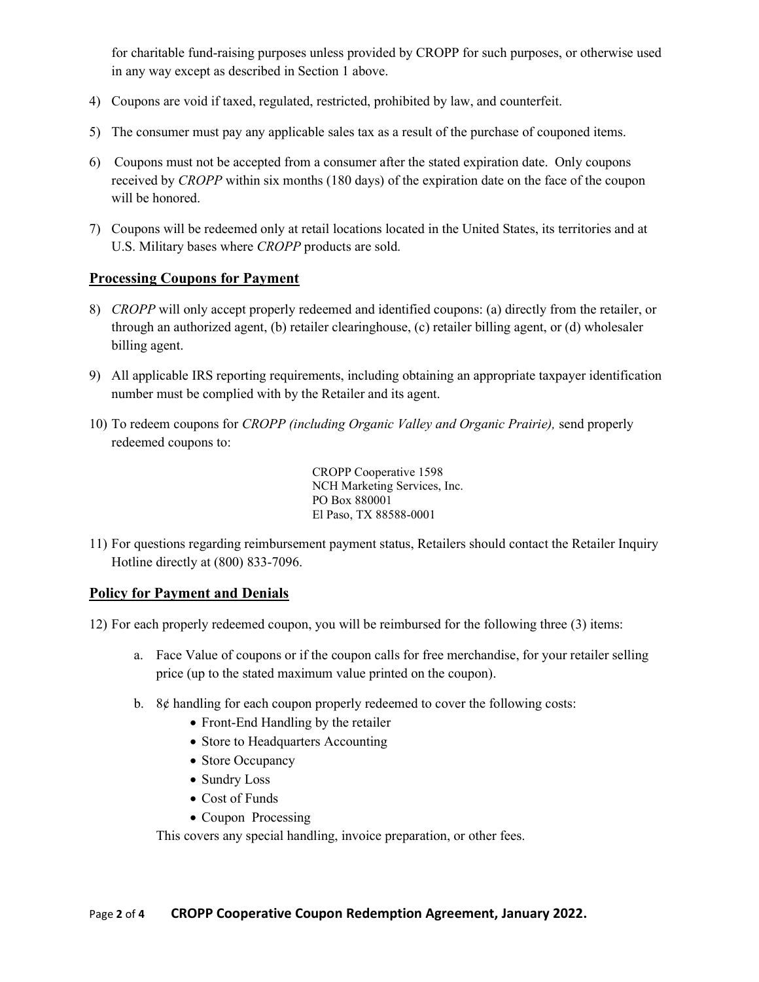for charitable fund-raising purposes unless provided by CROPP for such purposes, or otherwise used in any way except as described in Section 1 above.

- 4) Coupons are void if taxed, regulated, restricted, prohibited by law, and counterfeit.
- 5) The consumer must pay any applicable sales tax as a result of the purchase of couponed items.
- 6) Coupons must not be accepted from a consumer after the stated expiration date. Only coupons received by CROPP within six months (180 days) of the expiration date on the face of the coupon will be honored.
- 7) Coupons will be redeemed only at retail locations located in the United States, its territories and at U.S. Military bases where CROPP products are sold.

#### Processing Coupons for Payment

- 8) CROPP will only accept properly redeemed and identified coupons: (a) directly from the retailer, or through an authorized agent, (b) retailer clearinghouse, (c) retailer billing agent, or (d) wholesaler billing agent.
- 9) All applicable IRS reporting requirements, including obtaining an appropriate taxpayer identification number must be complied with by the Retailer and its agent.
- 10) To redeem coupons for CROPP (including Organic Valley and Organic Prairie), send properly redeemed coupons to:

CROPP Cooperative 1598 NCH Marketing Services, Inc. PO Box 880001 El Paso, TX 88588-0001

11) For questions regarding reimbursement payment status, Retailers should contact the Retailer Inquiry Hotline directly at (800) 833-7096.

#### Policy for Payment and Denials

- 12) For each properly redeemed coupon, you will be reimbursed for the following three (3) items:
	- a. Face Value of coupons or if the coupon calls for free merchandise, for your retailer selling price (up to the stated maximum value printed on the coupon).
	- b. 8¢ handling for each coupon properly redeemed to cover the following costs:
		- Front-End Handling by the retailer
		- Store to Headquarters Accounting
		- Store Occupancy
		- Sundry Loss
		- Cost of Funds
		- Coupon Processing

This covers any special handling, invoice preparation, or other fees.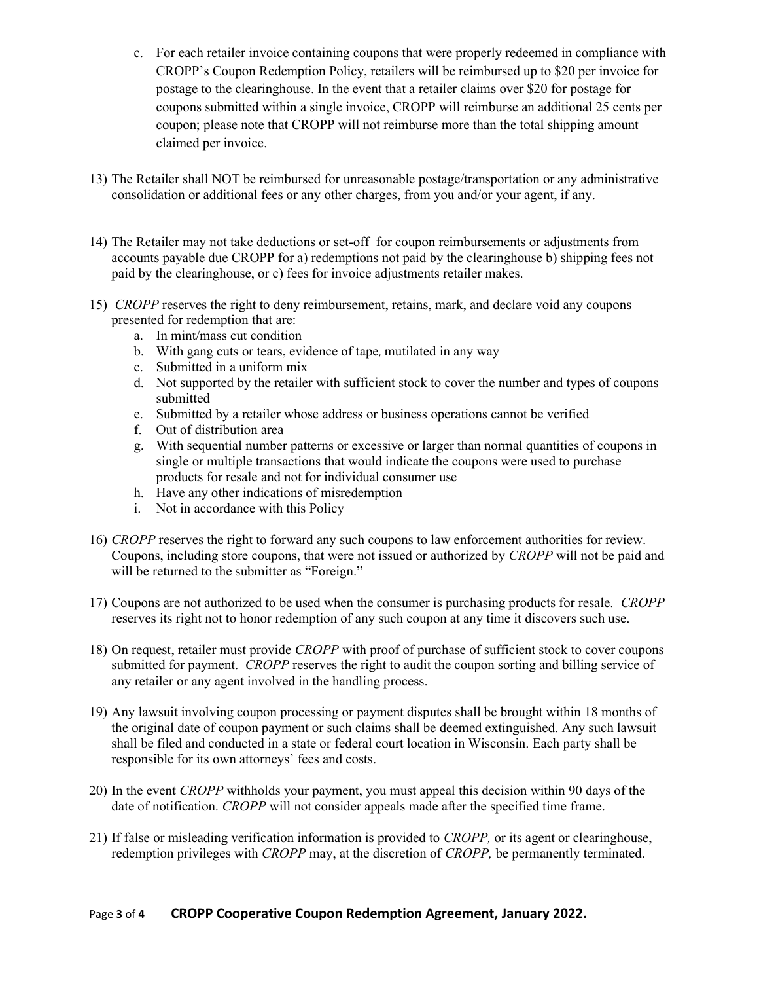- c. For each retailer invoice containing coupons that were properly redeemed in compliance with CROPP's Coupon Redemption Policy, retailers will be reimbursed up to \$20 per invoice for postage to the clearinghouse. In the event that a retailer claims over \$20 for postage for coupons submitted within a single invoice, CROPP will reimburse an additional 25 cents per coupon; please note that CROPP will not reimburse more than the total shipping amount claimed per invoice.
- 13) The Retailer shall NOT be reimbursed for unreasonable postage/transportation or any administrative consolidation or additional fees or any other charges, from you and/or your agent, if any.
- 14) The Retailer may not take deductions or set-off for coupon reimbursements or adjustments from accounts payable due CROPP for a) redemptions not paid by the clearinghouse b) shipping fees not paid by the clearinghouse, or c) fees for invoice adjustments retailer makes.
- 15) CROPP reserves the right to deny reimbursement, retains, mark, and declare void any coupons presented for redemption that are:
	- a. In mint/mass cut condition
	- b. With gang cuts or tears, evidence of tape, mutilated in any way
	- c. Submitted in a uniform mix
	- d. Not supported by the retailer with sufficient stock to cover the number and types of coupons submitted
	- e. Submitted by a retailer whose address or business operations cannot be verified
	- f. Out of distribution area
	- g. With sequential number patterns or excessive or larger than normal quantities of coupons in single or multiple transactions that would indicate the coupons were used to purchase products for resale and not for individual consumer use
	- h. Have any other indications of misredemption
	- i. Not in accordance with this Policy
- 16) CROPP reserves the right to forward any such coupons to law enforcement authorities for review. Coupons, including store coupons, that were not issued or authorized by CROPP will not be paid and will be returned to the submitter as "Foreign."
- 17) Coupons are not authorized to be used when the consumer is purchasing products for resale. CROPP reserves its right not to honor redemption of any such coupon at any time it discovers such use.
- 18) On request, retailer must provide CROPP with proof of purchase of sufficient stock to cover coupons submitted for payment. *CROPP* reserves the right to audit the coupon sorting and billing service of any retailer or any agent involved in the handling process.
- 19) Any lawsuit involving coupon processing or payment disputes shall be brought within 18 months of the original date of coupon payment or such claims shall be deemed extinguished. Any such lawsuit shall be filed and conducted in a state or federal court location in Wisconsin. Each party shall be responsible for its own attorneys' fees and costs.
- 20) In the event CROPP withholds your payment, you must appeal this decision within 90 days of the date of notification. CROPP will not consider appeals made after the specified time frame.
- 21) If false or misleading verification information is provided to CROPP, or its agent or clearinghouse, redemption privileges with *CROPP* may, at the discretion of *CROPP*, be permanently terminated.